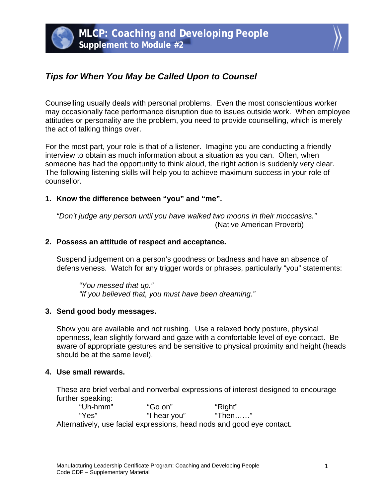

# *Tips for When You May be Called Upon to Counsel*

Counselling usually deals with personal problems. Even the most conscientious worker may occasionally face performance disruption due to issues outside work. When employee attitudes or personality are the problem, you need to provide counselling, which is merely the act of talking things over.

For the most part, your role is that of a listener. Imagine you are conducting a friendly interview to obtain as much information about a situation as you can. Often, when someone has had the opportunity to think aloud, the right action is suddenly very clear. The following listening skills will help you to achieve maximum success in your role of counsellor.

## **1. Know the difference between "you" and "me".**

*"Don't judge any person until you have walked two moons in their moccasins."*  (Native American Proverb)

### **2. Possess an attitude of respect and acceptance.**

Suspend judgement on a person's goodness or badness and have an absence of defensiveness. Watch for any trigger words or phrases, particularly "you" statements:

*"You messed that up." "If you believed that, you must have been dreaming."* 

### **3. Send good body messages.**

Show you are available and not rushing. Use a relaxed body posture, physical openness, lean slightly forward and gaze with a comfortable level of eye contact. Be aware of appropriate gestures and be sensitive to physical proximity and height (heads should be at the same level).

### **4. Use small rewards.**

These are brief verbal and nonverbal expressions of interest designed to encourage further speaking:

 "Uh-hmm" "Go on" "Right" "Yes" "I hear you" "Then……" Alternatively, use facial expressions, head nods and good eye contact.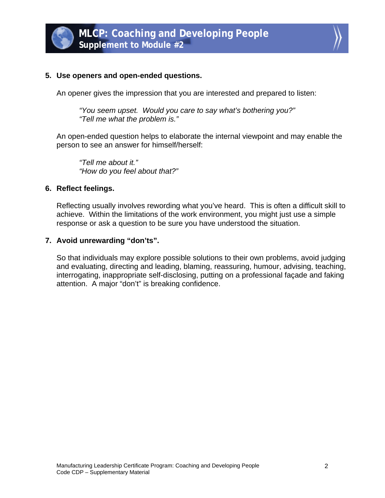



#### **5. Use openers and open-ended questions.**

An opener gives the impression that you are interested and prepared to listen:

 *"You seem upset. Would you care to say what's bothering you?" "Tell me what the problem is."* 

An open-ended question helps to elaborate the internal viewpoint and may enable the person to see an answer for himself/herself:

 *"Tell me about it." "How do you feel about that?"* 

#### **6. Reflect feelings.**

Reflecting usually involves rewording what you've heard. This is often a difficult skill to achieve. Within the limitations of the work environment, you might just use a simple response or ask a question to be sure you have understood the situation.

#### **7. Avoid unrewarding "don'ts".**

So that individuals may explore possible solutions to their own problems, avoid judging and evaluating, directing and leading, blaming, reassuring, humour, advising, teaching, interrogating, inappropriate self-disclosing, putting on a professional façade and faking attention. A major "don't" is breaking confidence.